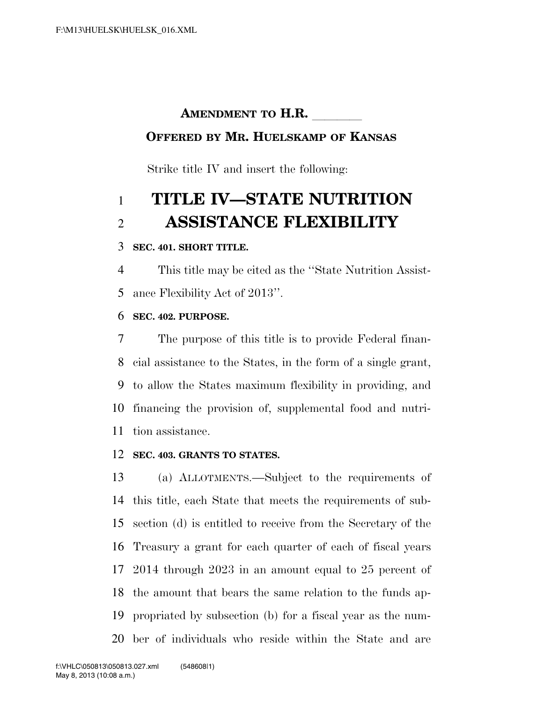## **AMENDMENT TO H.R.**

### **OFFERED BY MR. HUELSKAMP OF KANSAS**

Strike title IV and insert the following:

# **TITLE IV—STATE NUTRITION ASSISTANCE FLEXIBILITY**

#### **SEC. 401. SHORT TITLE.**

 This title may be cited as the ''State Nutrition Assist-ance Flexibility Act of 2013''.

#### **SEC. 402. PURPOSE.**

 The purpose of this title is to provide Federal finan- cial assistance to the States, in the form of a single grant, to allow the States maximum flexibility in providing, and financing the provision of, supplemental food and nutri-tion assistance.

#### **SEC. 403. GRANTS TO STATES.**

 (a) ALLOTMENTS.—Subject to the requirements of this title, each State that meets the requirements of sub- section (d) is entitled to receive from the Secretary of the Treasury a grant for each quarter of each of fiscal years 2014 through 2023 in an amount equal to 25 percent of the amount that bears the same relation to the funds ap- propriated by subsection (b) for a fiscal year as the num-ber of individuals who reside within the State and are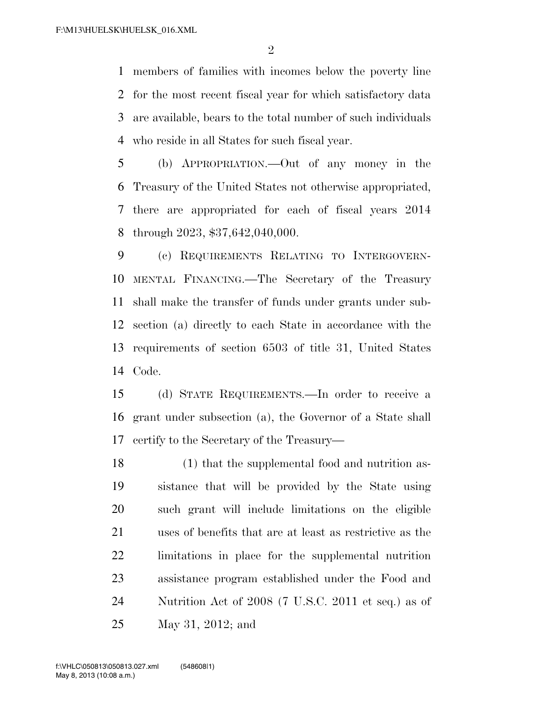members of families with incomes below the poverty line for the most recent fiscal year for which satisfactory data are available, bears to the total number of such individuals who reside in all States for such fiscal year.

 (b) APPROPRIATION.—Out of any money in the Treasury of the United States not otherwise appropriated, there are appropriated for each of fiscal years 2014 through 2023, \$37,642,040,000.

 (c) REQUIREMENTS RELATING TO INTERGOVERN- MENTAL FINANCING.—The Secretary of the Treasury shall make the transfer of funds under grants under sub- section (a) directly to each State in accordance with the requirements of section 6503 of title 31, United States Code.

 (d) STATE REQUIREMENTS.—In order to receive a grant under subsection (a), the Governor of a State shall certify to the Secretary of the Treasury—

 (1) that the supplemental food and nutrition as- sistance that will be provided by the State using such grant will include limitations on the eligible uses of benefits that are at least as restrictive as the limitations in place for the supplemental nutrition assistance program established under the Food and Nutrition Act of 2008 (7 U.S.C. 2011 et seq.) as of May 31, 2012; and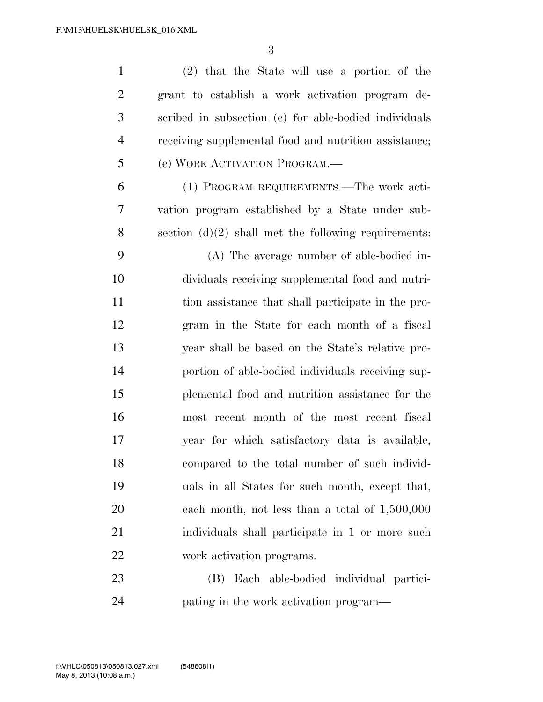(2) that the State will use a portion of the grant to establish a work activation program de- scribed in subsection (e) for able-bodied individuals receiving supplemental food and nutrition assistance; (e) WORK ACTIVATION PROGRAM.—

 (1) PROGRAM REQUIREMENTS.—The work acti- vation program established by a State under sub-section (d)(2) shall met the following requirements:

 (A) The average number of able-bodied in- dividuals receiving supplemental food and nutri- tion assistance that shall participate in the pro- gram in the State for each month of a fiscal year shall be based on the State's relative pro- portion of able-bodied individuals receiving sup- plemental food and nutrition assistance for the most recent month of the most recent fiscal year for which satisfactory data is available, compared to the total number of such individ- uals in all States for such month, except that, each month, not less than a total of 1,500,000 individuals shall participate in 1 or more such work activation programs.

 (B) Each able-bodied individual partici-pating in the work activation program—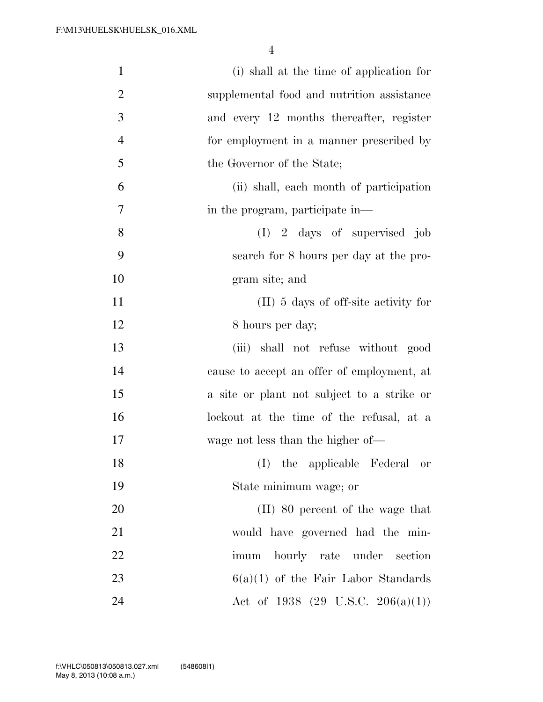| $\mathbf{1}$   | (i) shall at the time of application for     |
|----------------|----------------------------------------------|
|                |                                              |
| $\overline{2}$ | supplemental food and nutrition assistance   |
| 3              | and every 12 months thereafter, register     |
| $\overline{4}$ | for employment in a manner prescribed by     |
| 5              | the Governor of the State;                   |
| 6              | (ii) shall, each month of participation      |
| 7              | in the program, participate in—              |
| 8              | $(I)$ 2 days of supervised job               |
| 9              | search for 8 hours per day at the pro-       |
| 10             | gram site; and                               |
| 11             | $(II)$ 5 days of off-site activity for       |
| 12             | 8 hours per day;                             |
| 13             | shall not refuse without good<br>(iii)       |
| 14             | cause to accept an offer of employment, at   |
| 15             | a site or plant not subject to a strike or   |
| 16             | lockout at the time of the refusal, at a     |
| 17             | wage not less than the higher of—            |
| 18             | (I) the applicable Federal or                |
| 19             | State minimum wage; or                       |
| 20             | (II) 80 percent of the wage that             |
| 21             | would have governed had the min-             |
| 22             | imum hourly rate under section               |
| 23             | $6(a)(1)$ of the Fair Labor Standards        |
| 24             | Act of 1938 $(29 \text{ U.S.C. } 206(a)(1))$ |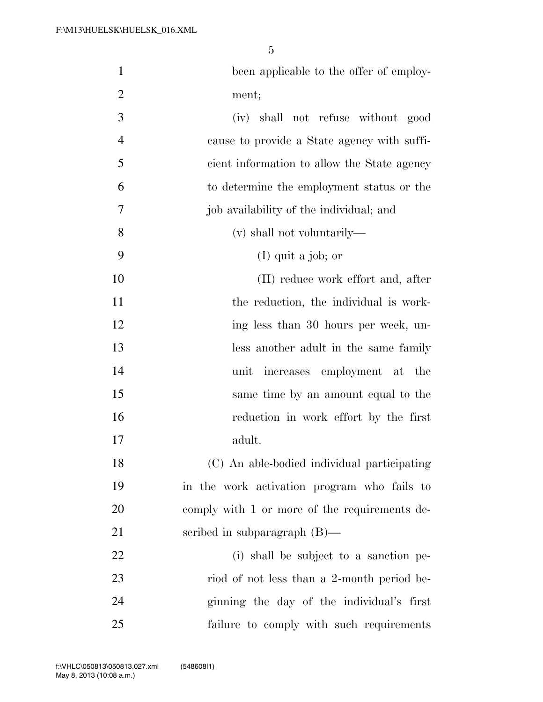| $\mathbf{1}$   | been applicable to the offer of employ-       |
|----------------|-----------------------------------------------|
| $\overline{2}$ | ment;                                         |
| 3              | (iv) shall not refuse without good            |
| $\overline{4}$ | cause to provide a State agency with suffi-   |
| 5              | cient information to allow the State agency   |
| 6              | to determine the employment status or the     |
| 7              | job availability of the individual; and       |
| 8              | (v) shall not voluntarily—                    |
| 9              | $(I)$ quit a job; or                          |
| 10             | (II) reduce work effort and, after            |
| 11             | the reduction, the individual is work-        |
| 12             | ing less than 30 hours per week, un-          |
| 13             | less another adult in the same family         |
| 14             | increases employment at the<br>unit           |
| 15             | same time by an amount equal to the           |
| 16             | reduction in work effort by the first         |
| 17             | adult.                                        |
| 18             | (C) An able-bodied individual participating   |
| 19             | in the work activation program who fails to   |
| 20             | comply with 1 or more of the requirements de- |
| 21             | scribed in subparagraph $(B)$ —               |
| 22             | (i) shall be subject to a sanction pe-        |
| 23             | riod of not less than a 2-month period be-    |
| 24             | ginning the day of the individual's first     |
| 25             | failure to comply with such requirements      |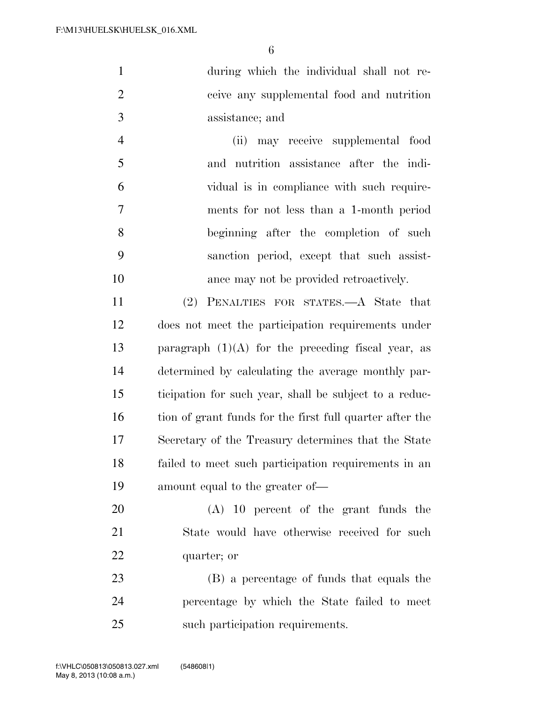| $\mathbf{1}$ | during which the individual shall not re- |
|--------------|-------------------------------------------|
| 2            | ceive any supplemental food and nutrition |
| 3            | assistance; and                           |

 (ii) may receive supplemental food and nutrition assistance after the indi- vidual is in compliance with such require- ments for not less than a 1-month period beginning after the completion of such sanction period, except that such assist-ance may not be provided retroactively.

 (2) PENALTIES FOR STATES.—A State that does not meet the participation requirements under 13 paragraph  $(1)(A)$  for the preceding fiscal year, as determined by calculating the average monthly par- ticipation for such year, shall be subject to a reduc-16 tion of grant funds for the first full quarter after the Secretary of the Treasury determines that the State failed to meet such participation requirements in an amount equal to the greater of—

 (A) 10 percent of the grant funds the State would have otherwise received for such quarter; or

 (B) a percentage of funds that equals the percentage by which the State failed to meet such participation requirements.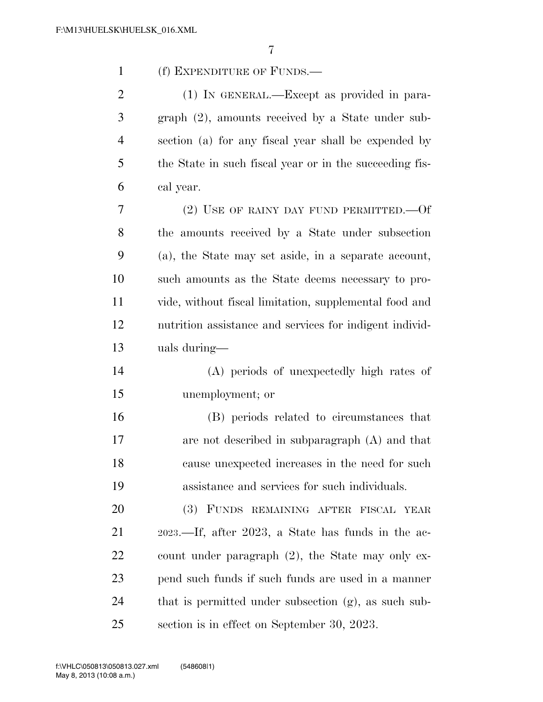| $\mathbf{1}$   | (f) EXPENDITURE OF FUNDS.—                              |
|----------------|---------------------------------------------------------|
| $\overline{2}$ | (1) IN GENERAL.—Except as provided in para-             |
| 3              | graph (2), amounts received by a State under sub-       |
| $\overline{4}$ | section (a) for any fiscal year shall be expended by    |
| 5              | the State in such fiscal year or in the succeeding fis- |
| 6              | cal year.                                               |
| 7              | (2) USE OF RAINY DAY FUND PERMITTED. $-0f$              |
| 8              | the amounts received by a State under subsection        |
| 9              | (a), the State may set aside, in a separate account,    |
| 10             | such amounts as the State deems necessary to pro-       |
| 11             | vide, without fiscal limitation, supplemental food and  |
| 12             | nutrition assistance and services for indigent individ- |
| 13             | uals during—                                            |
| 14             | (A) periods of unexpectedly high rates of               |
| 15             | unemployment; or                                        |
| 16             | (B) periods related to circumstances that               |
| 17             | are not described in subparagraph $(A)$ and that        |
| 18             | cause unexpected increases in the need for such         |
| 19             | assistance and services for such individuals.           |
| 20             | (3) FUNDS REMAINING AFTER FISCAL YEAR                   |
| 21             | 2023.—If, after 2023, a State has funds in the ac-      |
| 22             | count under paragraph (2), the State may only ex-       |
| 23             | pend such funds if such funds are used in a manner      |
| 24             | that is permitted under subsection (g), as such sub-    |
| 25             | section is in effect on September 30, 2023.             |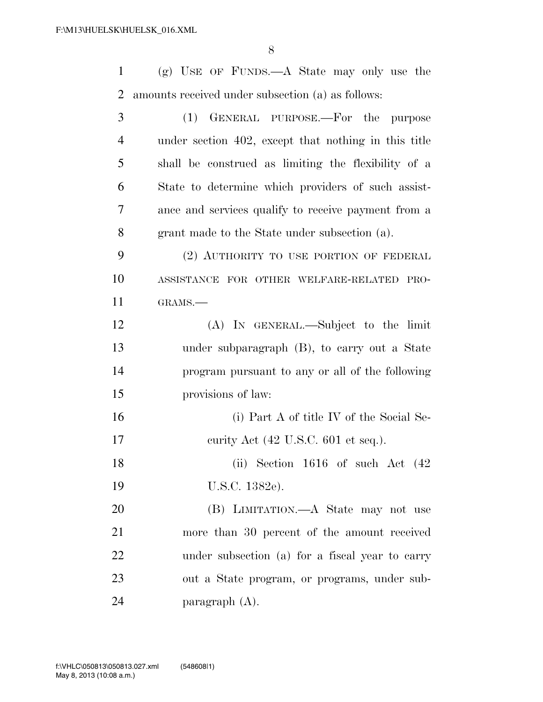| 1              | $(g)$ USE OF FUNDS.—A State may only use the         |
|----------------|------------------------------------------------------|
| $\overline{2}$ | amounts received under subsection (a) as follows:    |
| 3              | (1)<br>GENERAL PURPOSE.—For the purpose              |
| $\overline{4}$ | under section 402, except that nothing in this title |
| 5              | shall be construed as limiting the flexibility of a  |
| 6              | State to determine which providers of such assist-   |
| 7              | ance and services qualify to receive payment from a  |
| 8              | grant made to the State under subsection (a).        |
| 9              | (2) AUTHORITY TO USE PORTION OF FEDERAL              |
| 10             | ASSISTANCE FOR OTHER WELFARE-RELATED PRO-            |
| 11             | GRAMS.-                                              |
| 12             | (A) IN GENERAL.—Subject to the limit                 |
| 13             | under subparagraph (B), to carry out a State         |
| 14             | program pursuant to any or all of the following      |
| 15             | provisions of law:                                   |
| 16             | (i) Part A of title IV of the Social Se-             |
| 17             | eurity Act (42 U.S.C. 601 et seq.).                  |
| 18             | (ii) Section $1616$ of such Act $(42)$               |
| 19             | U.S.C. 1382e).                                       |
| 20             | (B) LIMITATION.—A State may not use                  |
| 21             | more than 30 percent of the amount received          |
| 22             | under subsection (a) for a fiscal year to carry      |
| 23             | out a State program, or programs, under sub-         |

paragraph (A).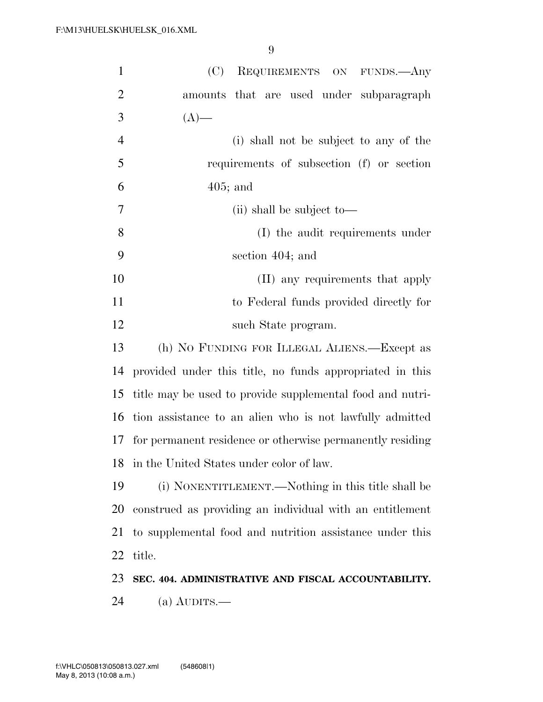| $\mathbf{1}$   | REQUIREMENTS ON FUNDS. Any<br>(C)                         |  |
|----------------|-----------------------------------------------------------|--|
| $\overline{2}$ | amounts that are used under subparagraph                  |  |
| 3              | $(A)$ —                                                   |  |
| $\overline{4}$ | (i) shall not be subject to any of the                    |  |
| 5              | requirements of subsection (f) or section                 |  |
| 6              | $405$ ; and                                               |  |
| $\tau$         | (ii) shall be subject to—                                 |  |
| 8              | (I) the audit requirements under                          |  |
| 9              | section 404; and                                          |  |
| 10             | (II) any requirements that apply                          |  |
| 11             | to Federal funds provided directly for                    |  |
| 12             | such State program.                                       |  |
| 13             | (h) NO FUNDING FOR ILLEGAL ALIENS.—Except as              |  |
| 14             | provided under this title, no funds appropriated in this  |  |
| 15             | title may be used to provide supplemental food and nutri- |  |
| 16             | tion assistance to an alien who is not lawfully admitted  |  |
| 17             | for permanent residence or otherwise permanently residing |  |
| 18             | in the United States under color of law.                  |  |
| 19             | (i) NONENTITLEMENT.—Nothing in this title shall be        |  |
| 20             | construed as providing an individual with an entitlement  |  |
| 21             | to supplemental food and nutrition assistance under this  |  |
| 22             | title.                                                    |  |
| 23             | SEC. 404. ADMINISTRATIVE AND FISCAL ACCOUNTABILITY.       |  |
| 24             | (a) $\text{AUDITS}$ .                                     |  |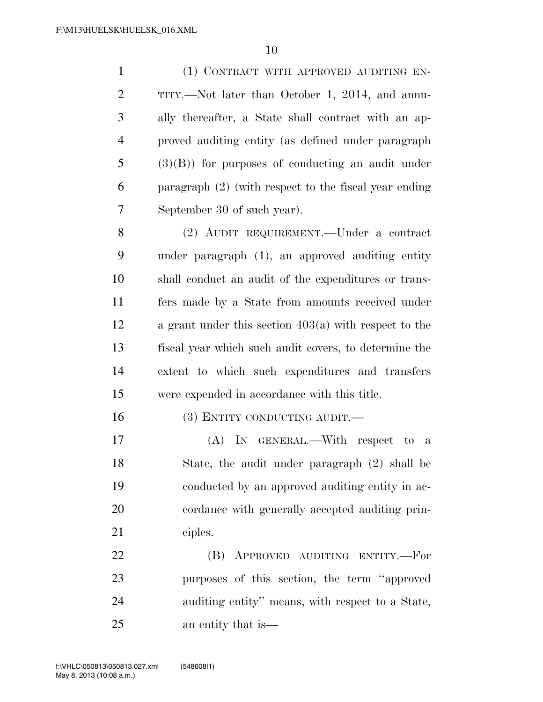(1) CONTRACT WITH APPROVED AUDITING EN- TITY.—Not later than October 1, 2014, and annu- ally thereafter, a State shall contract with an ap- proved auditing entity (as defined under paragraph (3)(B)) for purposes of conducting an audit under paragraph (2) (with respect to the fiscal year ending September 30 of such year).

 (2) AUDIT REQUIREMENT.—Under a contract under paragraph (1), an approved auditing entity shall conduct an audit of the expenditures or trans- fers made by a State from amounts received under a grant under this section 403(a) with respect to the fiscal year which such audit covers, to determine the extent to which such expenditures and transfers were expended in accordance with this title.

16 (3) ENTITY CONDUCTING AUDIT.

 (A) IN GENERAL.—With respect to a State, the audit under paragraph (2) shall be conducted by an approved auditing entity in ac- cordance with generally accepted auditing prin-ciples.

 (B) APPROVED AUDITING ENTITY.—For purposes of this section, the term ''approved auditing entity'' means, with respect to a State, an entity that is—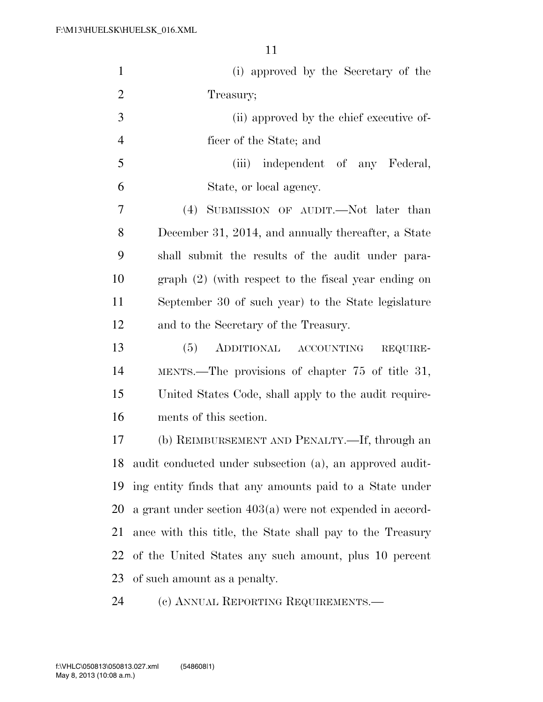| $\mathbf{1}$   | (i) approved by the Secretary of the                        |
|----------------|-------------------------------------------------------------|
| $\overline{2}$ | Treasury;                                                   |
| 3              | (ii) approved by the chief executive of-                    |
| $\overline{4}$ | ficer of the State; and                                     |
| 5              | (iii)<br>independent of any Federal,                        |
| 6              | State, or local agency.                                     |
| 7              | (4) SUBMISSION OF AUDIT.—Not later than                     |
| 8              | December 31, 2014, and annually thereafter, a State         |
| 9              | shall submit the results of the audit under para-           |
| 10             | $graph (2)$ (with respect to the fiscal year ending on      |
| 11             | September 30 of such year) to the State legislature         |
| 12             | and to the Secretary of the Treasury.                       |
| 13             | (5)<br>ADDITIONAL ACCOUNTING<br>REQUIRE-                    |
| 14             | MENTS.—The provisions of chapter 75 of title 31,            |
| 15             | United States Code, shall apply to the audit require-       |
| 16             | ments of this section.                                      |
| 17             | (b) REIMBURSEMENT AND PENALTY.—If, through an               |
| 18             | audit conducted under subsection (a), an approved audit-    |
| 19             | ing entity finds that any amounts paid to a State under     |
| 20             | a grant under section $403(a)$ were not expended in accord- |
| 21             | ance with this title, the State shall pay to the Treasury   |
| 22             | of the United States any such amount, plus 10 percent       |
| 23             | of such amount as a penalty.                                |
| 24             | (c) ANNUAL REPORTING REQUIREMENTS.—                         |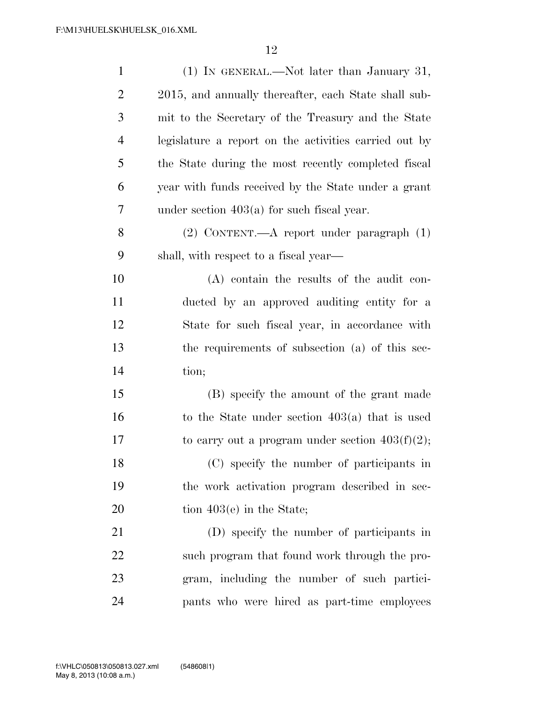| $\mathbf{1}$   | (1) IN GENERAL.—Not later than January 31,            |
|----------------|-------------------------------------------------------|
| $\overline{2}$ | 2015, and annually thereafter, each State shall sub-  |
| 3              | mit to the Secretary of the Treasury and the State    |
| $\overline{4}$ | legislature a report on the activities carried out by |
| 5              | the State during the most recently completed fiscal   |
| 6              | year with funds received by the State under a grant   |
| 7              | under section $403(a)$ for such fiscal year.          |
| 8              | (2) CONTENT.—A report under paragraph (1)             |
| 9              | shall, with respect to a fiscal year—                 |
| 10             | $(A)$ contain the results of the audit con-           |
| 11             | ducted by an approved auditing entity for a           |
| 12             | State for such fiscal year, in accordance with        |
| 13             | the requirements of subsection (a) of this sec-       |
| 14             | tion;                                                 |
| 15             | (B) specify the amount of the grant made              |
| 16             | to the State under section $403(a)$ that is used      |
| 17             | to carry out a program under section $403(f)(2)$ ;    |
| 18             | (C) specify the number of participants in             |
| 19             | the work activation program described in sec-         |
| 20             | tion $403(e)$ in the State;                           |
| 21             | (D) specify the number of participants in             |
| 22             | such program that found work through the pro-         |
| 23             | gram, including the number of such partici-           |
| 24             | pants who were hired as part-time employees           |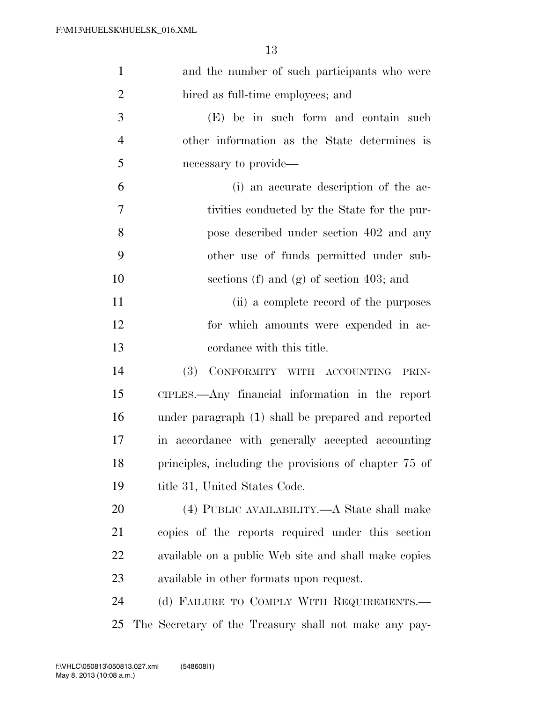| $\mathbf{1}$   | and the number of such participants who were          |
|----------------|-------------------------------------------------------|
| $\overline{2}$ | hired as full-time employees; and                     |
| 3              | (E) be in such form and contain such                  |
| $\overline{4}$ | other information as the State determines is          |
| 5              | necessary to provide—                                 |
| 6              | (i) an accurate description of the ac-                |
| 7              | tivities conducted by the State for the pur-          |
| 8              | pose described under section 402 and any              |
| 9              | other use of funds permitted under sub-               |
| 10             | sections (f) and (g) of section 403; and              |
| 11             | (ii) a complete record of the purposes                |
| 12             | for which amounts were expended in ac-                |
| 13             | cordance with this title.                             |
| 14             | CONFORMITY WITH ACCOUNTING<br>(3)<br>PRIN-            |
| 15             | CIPLES.—Any financial information in the report       |
| 16             | under paragraph (1) shall be prepared and reported    |
| 17             | in accordance with generally accepted accounting      |
| 18             | principles, including the provisions of chapter 75 of |
| 19             | title 31, United States Code.                         |
| 20             | (4) PUBLIC AVAILABILITY.—A State shall make           |
| 21             | copies of the reports required under this section     |
| 22             | available on a public Web site and shall make copies  |
| 23             | available in other formats upon request.              |
| 24             | (d) FAILURE TO COMPLY WITH REQUIREMENTS.—             |
| 25             | The Secretary of the Treasury shall not make any pay- |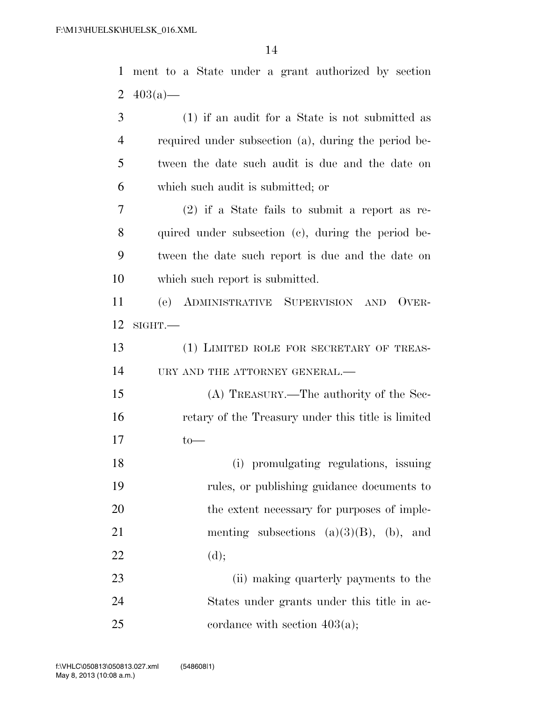| $\mathbf{1}$   | ment to a State under a grant authorized by section  |
|----------------|------------------------------------------------------|
| 2              | $403(a)$ —                                           |
| 3              | (1) if an audit for a State is not submitted as      |
| $\overline{4}$ | required under subsection (a), during the period be- |
| 5              | tween the date such audit is due and the date on     |
| 6              | which such audit is submitted; or                    |
| 7              | $(2)$ if a State fails to submit a report as re-     |
| 8              | quired under subsection (c), during the period be-   |
| 9              | tween the date such report is due and the date on    |
| 10             | which such report is submitted.                      |
| 11             | (e) ADMINISTRATIVE SUPERVISION AND OVER-             |
| 12             | $\text{SIGHT}$ .                                     |
| 13             | (1) LIMITED ROLE FOR SECRETARY OF TREAS-             |
| 14             | URY AND THE ATTORNEY GENERAL.-                       |
| 15             | (A) TREASURY.—The authority of the Sec-              |
| 16             | retary of the Treasury under this title is limited   |
| 17             | $to-$                                                |
| 18             | (i) promulgating regulations, issuing                |
| 19             | rules, or publishing guidance documents to           |
| 20             | the extent necessary for purposes of imple-          |
| 21             | menting subsections $(a)(3)(B)$ , (b), and           |
| 22             | (d);                                                 |
| 23             | (ii) making quarterly payments to the                |
| 24             | States under grants under this title in ac-          |
| 25             | cordance with section $403(a)$ ;                     |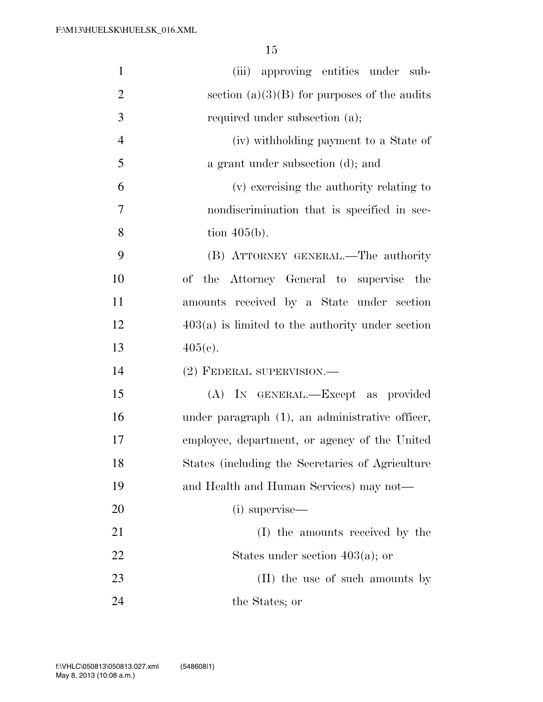| $\mathbf{1}$   | (iii) approving entities under sub-                |
|----------------|----------------------------------------------------|
| $\overline{2}$ | section $(a)(3)(B)$ for purposes of the audits     |
| 3              | required under subsection (a);                     |
| $\overline{4}$ | (iv) withholding payment to a State of             |
| 5              | a grant under subsection (d); and                  |
| 6              | (v) exercising the authority relating to           |
| 7              | nondiscrimination that is specified in sec-        |
| 8              | tion $405(b)$ .                                    |
| 9              | (B) ATTORNEY GENERAL.—The authority                |
| 10             | of the Attorney General to supervise the           |
| 11             | amounts received by a State under section          |
| 12             | $403(a)$ is limited to the authority under section |
| 13             | $405(c)$ .                                         |
| 14             | $(2)$ FEDERAL SUPERVISION.—                        |
| 15             | (A) IN GENERAL.—Except as provided                 |
| 16             | under paragraph (1), an administrative officer,    |
| 17             | employee, department, or agency of the United      |
| 18             | States (including the Secretaries of Agriculture   |
| 19             | and Health and Human Services) may not—            |
| 20             | (i) supervise—                                     |
| 21             | (I) the amounts received by the                    |
| 22             | States under section $403(a)$ ; or                 |
| 23             | (II) the use of such amounts by                    |
| 24             | the States; or                                     |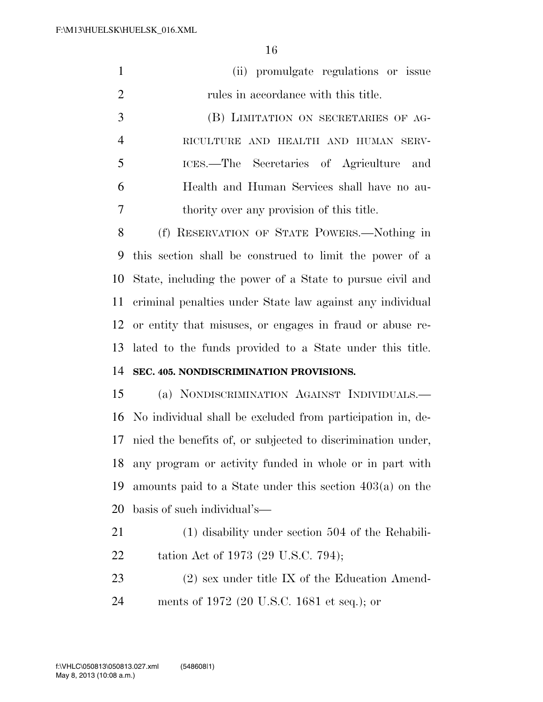|   | (ii) promulgate regulations or issue        |
|---|---------------------------------------------|
| 2 | rules in accordance with this title.        |
| 3 | (B) LIMITATION ON SECRETARIES OF AG-        |
|   | RICULTURE AND HEALTH AND HUMAN SERV-        |
| 5 | ICES.—The Secretaries of Agriculture and    |
|   | Health and Human Services shall have no au- |
|   | thority over any provision of this title.   |

 (f) RESERVATION OF STATE POWERS.—Nothing in this section shall be construed to limit the power of a State, including the power of a State to pursue civil and criminal penalties under State law against any individual or entity that misuses, or engages in fraud or abuse re- lated to the funds provided to a State under this title. **SEC. 405. NONDISCRIMINATION PROVISIONS.** 

 (a) NONDISCRIMINATION AGAINST INDIVIDUALS.— No individual shall be excluded from participation in, de- nied the benefits of, or subjected to discrimination under, any program or activity funded in whole or in part with amounts paid to a State under this section 403(a) on the basis of such individual's—

- (1) disability under section 504 of the Rehabili-22 tation Act of 1973 (29 U.S.C. 794);
- (2) sex under title IX of the Education Amend-ments of 1972 (20 U.S.C. 1681 et seq.); or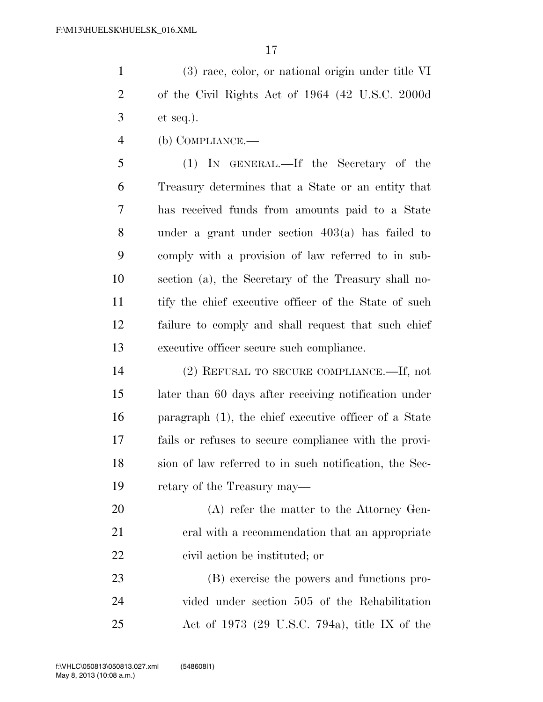(3) race, color, or national origin under title VI of the Civil Rights Act of 1964 (42 U.S.C. 2000d et seq.).

(b) COMPLIANCE.—

 (1) IN GENERAL.—If the Secretary of the Treasury determines that a State or an entity that has received funds from amounts paid to a State under a grant under section 403(a) has failed to comply with a provision of law referred to in sub- section (a), the Secretary of the Treasury shall no- tify the chief executive officer of the State of such failure to comply and shall request that such chief executive officer secure such compliance.

 (2) REFUSAL TO SECURE COMPLIANCE.—If, not later than 60 days after receiving notification under paragraph (1), the chief executive officer of a State fails or refuses to secure compliance with the provi- sion of law referred to in such notification, the Sec-retary of the Treasury may—

20 (A) refer the matter to the Attorney Gen- eral with a recommendation that an appropriate civil action be instituted; or

 (B) exercise the powers and functions pro- vided under section 505 of the Rehabilitation Act of 1973 (29 U.S.C. 794a), title IX of the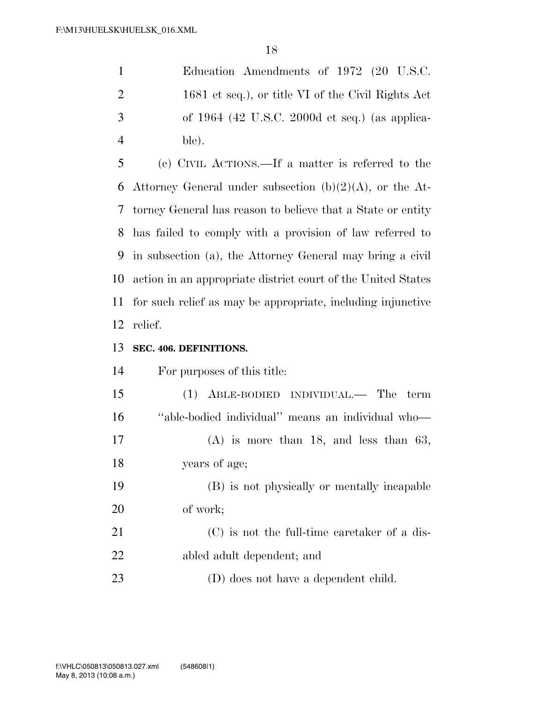| -1             | Education Amendments of 1972 (20 U.S.C.            |
|----------------|----------------------------------------------------|
| 2              | 1681 et seq.), or title VI of the Civil Rights Act |
| 3              | of $1964$ (42 U.S.C. 2000d et seq.) (as applica-   |
| $\overline{4}$ | ble).                                              |

 (c) CIVIL ACTIONS.—If a matter is referred to the 6 Attorney General under subsection  $(b)(2)(A)$ , or the At- torney General has reason to believe that a State or entity has failed to comply with a provision of law referred to in subsection (a), the Attorney General may bring a civil action in an appropriate district court of the United States for such relief as may be appropriate, including injunctive relief.

#### **SEC. 406. DEFINITIONS.**

For purposes of this title:

 (1) ABLE-BODIED INDIVIDUAL.— The term ''able-bodied individual'' means an individual who— (A) is more than 18, and less than 63, years of age; (B) is not physically or mentally incapable of work;

 (C) is not the full-time caretaker of a dis-abled adult dependent; and

(D) does not have a dependent child.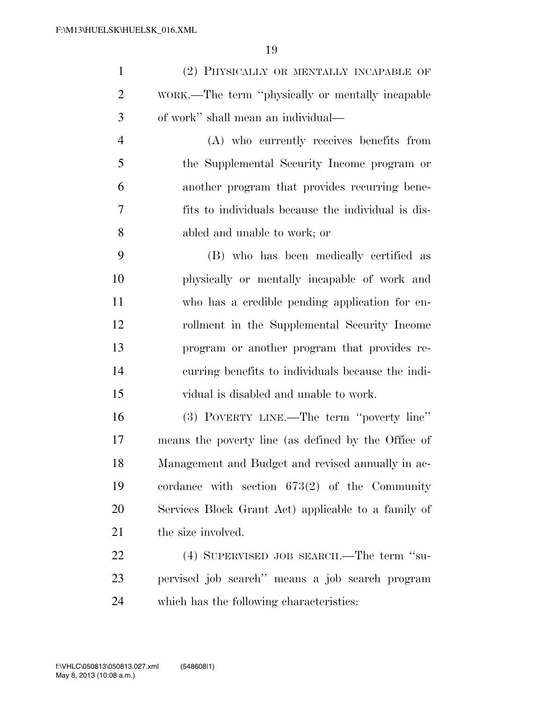(2) PHYSICALLY OR MENTALLY INCAPABLE OF WORK.—The term ''physically or mentally incapable of work'' shall mean an individual—

 (A) who currently receives benefits from the Supplemental Security Income program or another program that provides recurring bene- fits to individuals because the individual is dis-abled and unable to work; or

 (B) who has been medically certified as physically or mentally incapable of work and who has a credible pending application for en- rollment in the Supplemental Security Income program or another program that provides re- curring benefits to individuals because the indi-vidual is disabled and unable to work.

 (3) POVERTY LINE.—The term ''poverty line'' means the poverty line (as defined by the Office of Management and Budget and revised annually in ac- cordance with section 673(2) of the Community Services Block Grant Act) applicable to a family of 21 the size involved.

22 (4) SUPERVISED JOB SEARCH.—The term "su- pervised job search'' means a job search program which has the following characteristics: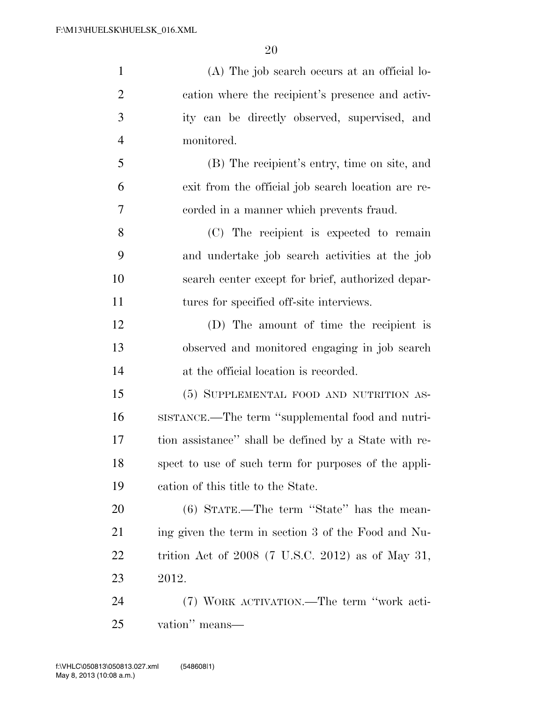| $\mathbf{1}$   | (A) The job search occurs at an official lo-          |
|----------------|-------------------------------------------------------|
| $\overline{2}$ | cation where the recipient's presence and activ-      |
| 3              | ity can be directly observed, supervised, and         |
| $\overline{4}$ | monitored.                                            |
| 5              | (B) The recipient's entry, time on site, and          |
| 6              | exit from the official job search location are re-    |
| 7              | corded in a manner which prevents fraud.              |
| 8              | (C) The recipient is expected to remain               |
| 9              | and undertake job search activities at the job        |
| 10             | search center except for brief, authorized depar-     |
| 11             | tures for specified off-site interviews.              |
| 12             | (D) The amount of time the recipient is               |
| 13             | observed and monitored engaging in job search         |
| 14             | at the official location is recorded.                 |
| 15             | (5) SUPPLEMENTAL FOOD AND NUTRITION AS-               |
| 16             | SISTANCE.—The term "supplemental food and nutri-      |
| 17             | tion assistance" shall be defined by a State with re- |
| 18             | spect to use of such term for purposes of the appli-  |
| 19             | cation of this title to the State.                    |
| 20             | $(6)$ STATE.—The term "State" has the mean-           |
| 21             | ing given the term in section 3 of the Food and Nu-   |
| 22             | trition Act of $2008$ (7 U.S.C. 2012) as of May 31,   |
| 23             | 2012.                                                 |
| 24             | (7) WORK ACTIVATION.—The term "work acti-             |
|                |                                                       |

vation'' means—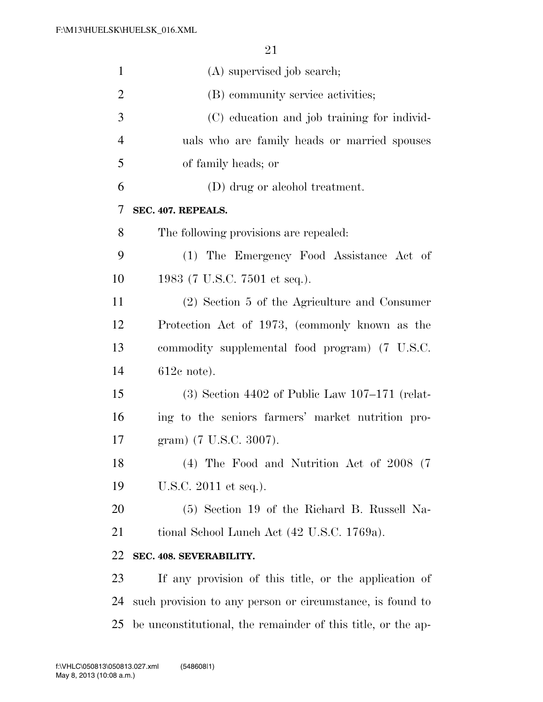| $\mathbf{1}$   | (A) supervised job search;                                   |
|----------------|--------------------------------------------------------------|
| $\overline{2}$ | (B) community service activities;                            |
| 3              | (C) education and job training for individ-                  |
| $\overline{4}$ | uals who are family heads or married spouses                 |
| 5              | of family heads; or                                          |
| 6              | (D) drug or alcohol treatment.                               |
| 7              | SEC. 407. REPEALS.                                           |
| 8              | The following provisions are repealed:                       |
| 9              | (1) The Emergency Food Assistance Act of                     |
| 10             | 1983 (7 U.S.C. 7501 et seq.).                                |
| 11             | (2) Section 5 of the Agriculture and Consumer                |
| 12             | Protection Act of 1973, (commonly known as the               |
| 13             | commodity supplemental food program) (7 U.S.C.               |
| 14             | $612c$ note).                                                |
| 15             | $(3)$ Section 4402 of Public Law 107–171 (relat-             |
| 16             | ing to the seniors farmers' market nutrition pro-            |
| 17             | gram) (7 U.S.C. 3007).                                       |
| 18             | (4) The Food and Nutrition Act of 2008 (7)                   |
| 19             | U.S.C. 2011 et seq.).                                        |
| 20             | (5) Section 19 of the Richard B. Russell Na-                 |
| 21             | tional School Lunch Act (42 U.S.C. 1769a).                   |
| 22             | SEC. 408. SEVERABILITY.                                      |
| 23             | If any provision of this title, or the application of        |
| 24             | such provision to any person or circumstance, is found to    |
| 25             | be unconstitutional, the remainder of this title, or the ap- |